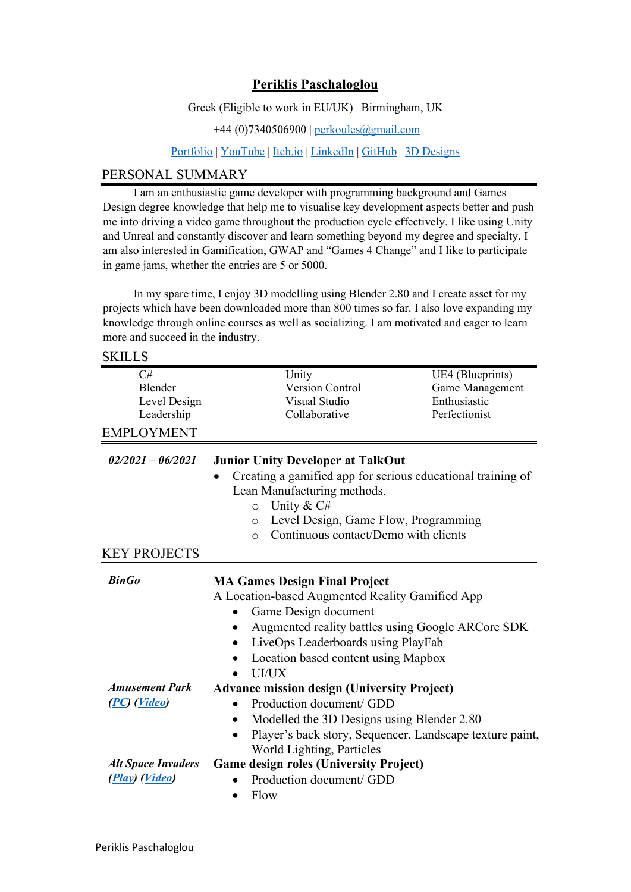## **Periklis Paschaloglou**

Greek (Eligible to work in EU/UK) | Birmingham, UK

+44 (0)7340506900 | [perkoules@gmail.com](mailto:perkoules@gmail.com)

[Portfolio](https://perkoules.com/) | [YouTube](http://bit.ly/MyYoutubeGamingPlaylist) | [Itch.io](https://perkoules.itch.io/) | [LinkedIn](https://www.linkedin.com/in/periklispaschaloglou/) | [GitHub](https://github.com/perkoules?tab=repositories) | [3D Designs](https://www.perkoules.com/3d-models)

### PERSONAL SUMMARY

I am an enthusiastic game developer with programming background and Games Design degree knowledge that help me to visualise key development aspects better and push me into driving a video game throughout the production cycle effectively. I like using Unity and Unreal and constantly discover and learn something beyond my degree and specialty. I am also interested in Gamification, GWAP and "Games 4 Change" and I like to participate in game jams, whether the entries are 5 or 5000.

In my spare time, I enjoy 3D modelling using Blender 2.80 and I create asset for my projects which have been downloaded more than 800 times so far. I also love expanding my knowledge through online courses as well as socializing. I am motivated and eager to learn more and succeed in the industry.

**SKILLS** 

| C#<br>Blender             | Unity<br><b>Version Control</b>                                                                                                        | UE4 (Blueprints)<br>Game Management |
|---------------------------|----------------------------------------------------------------------------------------------------------------------------------------|-------------------------------------|
| Level Design              | Visual Studio                                                                                                                          | Enthusiastic                        |
| Leadership                | Collaborative                                                                                                                          | Perfectionist                       |
| <b>EMPLOYMENT</b>         |                                                                                                                                        |                                     |
| $02/2021 - 06/2021$       | <b>Junior Unity Developer at TalkOut</b><br>Creating a gamified app for serious educational training of<br>Lean Manufacturing methods. |                                     |
|                           |                                                                                                                                        |                                     |
|                           | Unity & C#<br>$\circ$                                                                                                                  |                                     |
|                           | Level Design, Game Flow, Programming<br>$\circ$                                                                                        |                                     |
|                           | Continuous contact/Demo with clients<br>$\circ$                                                                                        |                                     |
| <b>KEY PROJECTS</b>       |                                                                                                                                        |                                     |
| <b>BinGo</b>              | <b>MA Games Design Final Project</b>                                                                                                   |                                     |
|                           | A Location-based Augmented Reality Gamified App<br>Game Design document                                                                |                                     |
|                           |                                                                                                                                        |                                     |
|                           | Augmented reality battles using Google ARCore SDK                                                                                      |                                     |
|                           | LiveOps Leaderboards using PlayFab                                                                                                     |                                     |
|                           | Location based content using Mapbox                                                                                                    |                                     |
|                           | UI/UX                                                                                                                                  |                                     |
| <b>Amusement Park</b>     | <b>Advance mission design (University Project)</b>                                                                                     |                                     |
| (PC) (Video)              | Production document/ GDD                                                                                                               |                                     |
|                           | Modelled the 3D Designs using Blender 2.80                                                                                             |                                     |
|                           | Player's back story, Sequencer, Landscape texture paint,<br>$\bullet$                                                                  |                                     |
|                           | World Lighting, Particles                                                                                                              |                                     |
| <b>Alt Space Invaders</b> | <b>Game design roles (University Project)</b>                                                                                          |                                     |
| (Play) (Video)            | Production document/ GDD                                                                                                               |                                     |
|                           | Flow<br>$\bullet$                                                                                                                      |                                     |